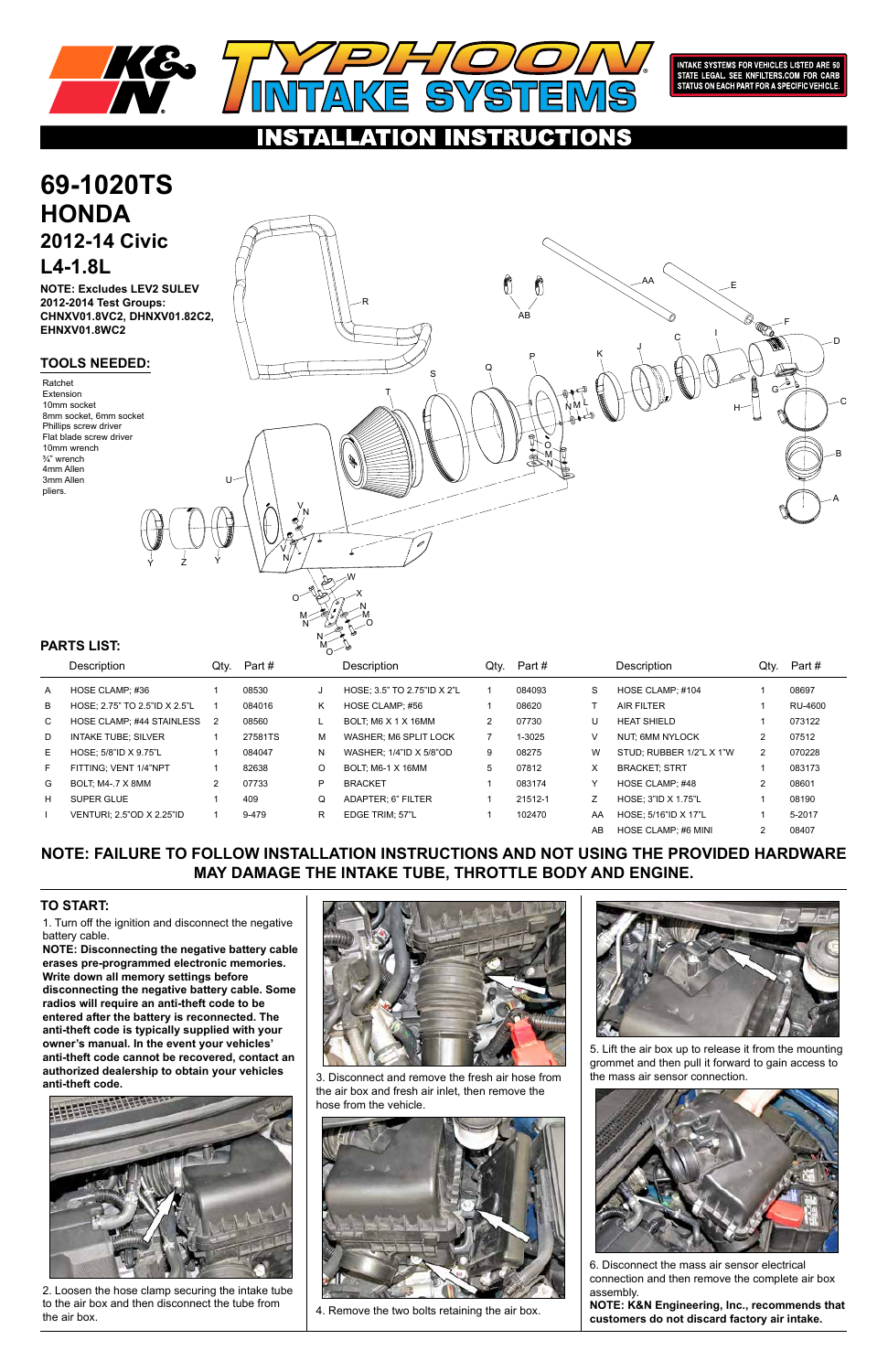1. Turn off the ignition and disconnect the negative battery cable.

G BOLT; M4-.7 X 8MM 2 07733 H SUPER GLUE 1 409 I VENTURI; 2.5"OD X 2.25"ID 1 9-479

**NOTE: Disconnecting the negative battery cable erases pre-programmed electronic memories. Write down all memory settings before disconnecting the negative battery cable. Some radios will require an anti-theft code to be entered after the battery is reconnected. The anti-theft code is typically supplied with your owner's manual. In the event your vehicles' anti-theft code cannot be recovered, contact an authorized dealership to obtain your vehicles anti-theft code.**





Y HOSE CLAMP; #48 2 08601 Z HOSE; 3"ID X 1.75"L 1 08190 AA HOSE; 5/16"ID X 17"L 1 5-2017 AB HOSE CLAMP; #6 MINI 2 08407

## **TO START:**



**INTAKE SYSTEMS FOR VEHICLES LISTED ARE 50** STATE LEGAL. SEE KNFILTERS.COM FOR CARB<br>STATE LEGAL. SEE KNFILTERS.COM FOR CARB<br>STATUS ON EACH PART FOR A SPECIFIC VEHICLE.

### RU CTIONS AT ION

**NOTE: FAILURE TO FOLLOW INSTALLATION INSTRUCTIONS AND NOT USING THE PROVIDED HARDWARE MAY DAMAGE THE INTAKE TUBE, THROTTLE BODY AND ENGINE.**

P BRACKET 1 083174 Q ADAPTER; 6" FILTER 1 21512-1 R EDGE TRIM; 57"L 1 102470

### **69-1020TS HONDA 2012-14 Civic L4-1.8L TOOLS NEEDED:** Description Qty. Part # Description Qty. Part # Description Qty. Part # A HOSE CLAMP; #36 1 08530 B HOSE; 2.75" TO 2.5"ID X 2.5"L 1 084016 C HOSE CLAMP; #44 STAINLESS 2 08560 D INTAKE TUBE; SILVER 1 27581TS E HOSE; 5/8"ID X 9.75"L 1 084047 F FITTING; VENT 1/4"NPT 1 82638 J HOSE; 3.5" TO 2.75"ID X 2"L 1 084093 K HOSE CLAMP; #56 1 08620 L BOLT; M6 X 1 X 16MM 2 07730 M WASHER; M6 SPLIT LOCK 7 1-3025 N WASHER; 1/4"ID X 5/8"OD 9 08275 O BOLT; M6-1 X 16MM 5 07812 S HOSE CLAMP; #104 1 08697 T AIR FILTER 1 RU-4600 U HEAT SHIELD 1 073122 V NUT; 6MM NYLOCK 2 07512 W STUD; RUBBER 1/2"L X 1"W 2 070228 X BRACKET; STRT 1 083173 **PARTS LIST:** Ratchet Extension 10mm socket 8mm socket, 6mm socket Phillips screw driver Flat blade screw driver 10mm wrench ¾" wrench 4mm Allen 3mm Allen pliers. n n L O M N  $S \qquad \qquad Q$ T A B C D  $AA$   $\searrow$   $E$ AB F C J I P K R H V N V N U W N N N M *M* M M O O O X Y Z Y G **NOTE: Excludes LEV2 SULEV 2012-2014 Test Groups: CHNXV01.8VC2, DHNXV01.82C2, EHNXV01.8WC2**



2. Loosen the hose clamp securing the intake tube to the air box and then disconnect the tube from the air box.

3. Disconnect and remove the fresh air hose from the air box and fresh air inlet, then remove the hose from the vehicle.



4. Remove the two bolts retaining the air box.

5. Lift the air box up to release it from the mounting grommet and then pull it forward to gain access to the mass air sensor connection.



6. Disconnect the mass air sensor electrical connection and then remove the complete air box assembly.

**NOTE: K&N Engineering, Inc., recommends that customers do not discard factory air intake.**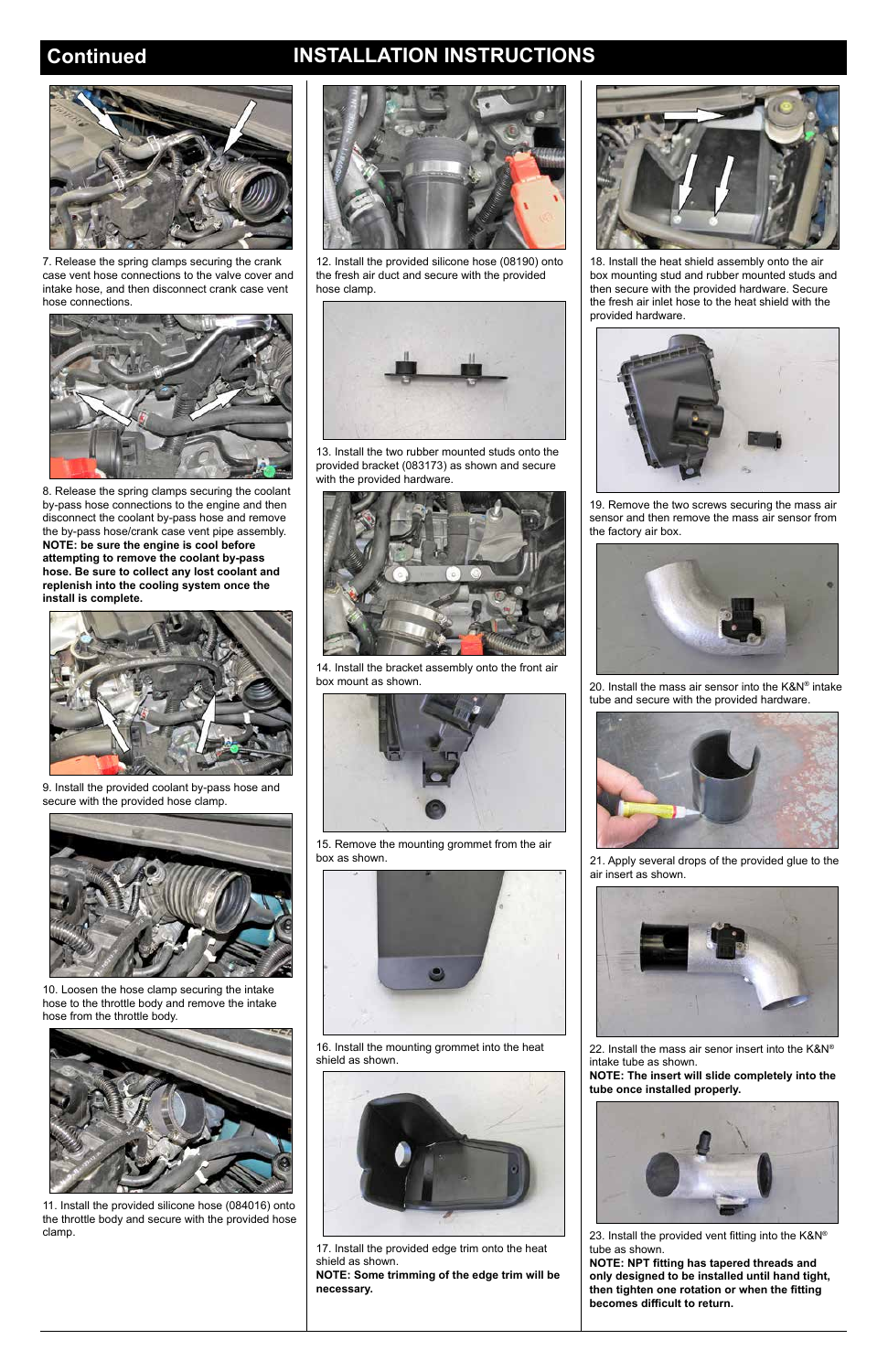# **Continued INSTALLATION INSTRUCTIONS**



7. Release the spring clamps securing the crank case vent hose connections to the valve cover and intake hose, and then disconnect crank case vent hose connections.



8. Release the spring clamps securing the coolant by-pass hose connections to the engine and then disconnect the coolant by-pass hose and remove the by-pass hose/crank case vent pipe assembly. **NOTE: be sure the engine is cool before attempting to remove the coolant by-pass hose. Be sure to collect any lost coolant and replenish into the cooling system once the install is complete.**



9. Install the provided coolant by-pass hose and secure with the provided hose clamp.



10. Loosen the hose clamp securing the intake hose to the throttle body and remove the intake

## hose from the throttle body.



11. Install the provided silicone hose (084016) onto the throttle body and secure with the provided hose clamp.



12. Install the provided silicone hose (08190) onto the fresh air duct and secure with the provided hose clamp.



13. Install the two rubber mounted studs onto the provided bracket (083173) as shown and secure with the provided hardware.



14. Install the bracket assembly onto the front air box mount as shown.



15. Remove the mounting grommet from the air box as shown.



16. Install the mounting grommet into the heat shield as shown.



17. Install the provided edge trim onto the heat shield as shown.

**NOTE: Some trimming of the edge trim will be necessary.**



18. Install the heat shield assembly onto the air box mounting stud and rubber mounted studs and then secure with the provided hardware. Secure the fresh air inlet hose to the heat shield with the provided hardware.



19. Remove the two screws securing the mass air sensor and then remove the mass air sensor from the factory air box.



20. Install the mass air sensor into the K&N® intake tube and secure with the provided hardware.



21. Apply several drops of the provided glue to the air insert as shown.



22. Install the mass air senor insert into the K&N® intake tube as shown.

**NOTE: The insert will slide completely into the tube once installed properly.**



23. Install the provided vent fitting into the K&N® tube as shown.

**NOTE: NPT fitting has tapered threads and only designed to be installed until hand tight, then tighten one rotation or when the fitting becomes difficult to return.**